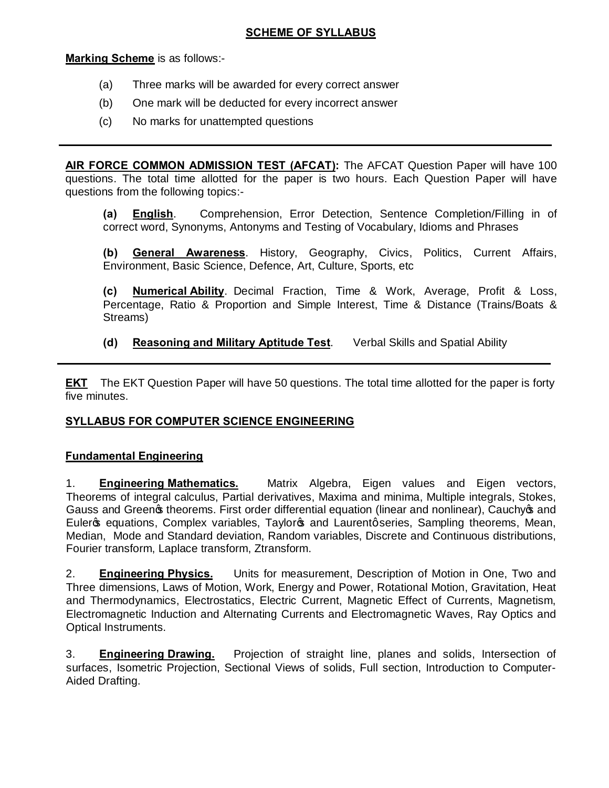# **SCHEME OF SYLLABUS**

**Marking Scheme** is as follows:-

- (a) Three marks will be awarded for every correct answer
- (b) One mark will be deducted for every incorrect answer
- (c) No marks for unattempted questions

**AIR FORCE COMMON ADMISSION TEST (AFCAT):** The AFCAT Question Paper will have 100 questions. The total time allotted for the paper is two hours. Each Question Paper will have questions from the following topics:-

**(a) English**. Comprehension, Error Detection, Sentence Completion/Filling in of correct word, Synonyms, Antonyms and Testing of Vocabulary, Idioms and Phrases

**(b) General Awareness**. History, Geography, Civics, Politics, Current Affairs, Environment, Basic Science, Defence, Art, Culture, Sports, etc

**(c) Numerical Ability**. Decimal Fraction, Time & Work, Average, Profit & Loss, Percentage, Ratio & Proportion and Simple Interest, Time & Distance (Trains/Boats & Streams)

**(d) Reasoning and Military Aptitude Test**. Verbal Skills and Spatial Ability

**EKT** The EKT Question Paper will have 50 questions. The total time allotted for the paper is forty five minutes.

# **SYLLABUS FOR COMPUTER SCIENCE ENGINEERING**

## **Fundamental Engineering**

1. **Engineering Mathematics.** Matrix Algebra, Eigen values and Eigen vectors, Theorems of integral calculus, Partial derivatives, Maxima and minima, Multiple integrals, Stokes, Gauss and Green theorems. First order differential equation (linear and nonlinear), Cauchy os and Euler op equations, Complex variables, Taylor op and Laurent gseries, Sampling theorems, Mean, Median, Mode and Standard deviation, Random variables, Discrete and Continuous distributions, Fourier transform, Laplace transform, Ztransform.

2. **Engineering Physics.** Units for measurement, Description of Motion in One, Two and Three dimensions, Laws of Motion, Work, Energy and Power, Rotational Motion, Gravitation, Heat and Thermodynamics, Electrostatics, Electric Current, Magnetic Effect of Currents, Magnetism, Electromagnetic Induction and Alternating Currents and Electromagnetic Waves, Ray Optics and Optical Instruments.

3. **Engineering Drawing.** Projection of straight line, planes and solids, Intersection of surfaces, Isometric Projection, Sectional Views of solids, Full section, Introduction to Computer-Aided Drafting.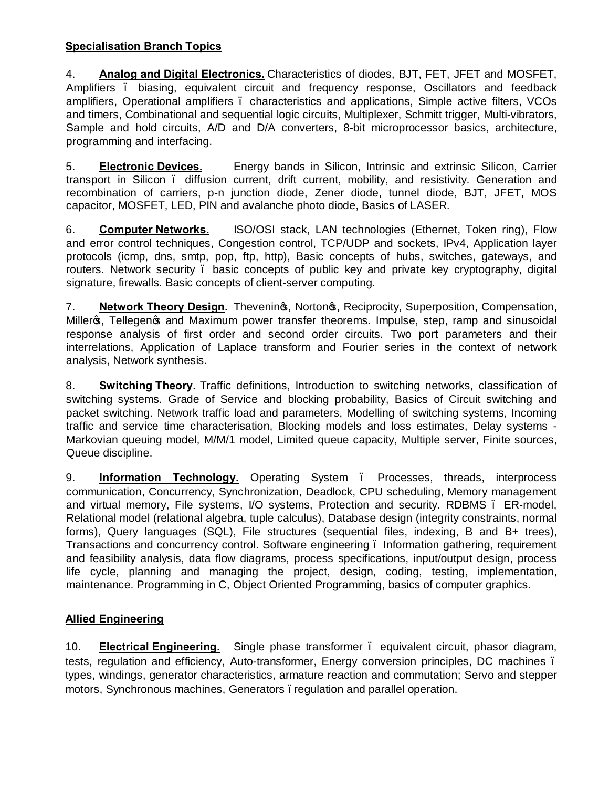# **Specialisation Branch Topics**

4. **Analog and Digital Electronics.** Characteristics of diodes, BJT, FET, JFET and MOSFET, Amplifiers . biasing, equivalent circuit and frequency response, Oscillators and feedback amplifiers, Operational amplifiers – characteristics and applications, Simple active filters, VCOs and timers, Combinational and sequential logic circuits, Multiplexer, Schmitt trigger, Multi-vibrators, Sample and hold circuits, A/D and D/A converters, 8-bit microprocessor basics, architecture, programming and interfacing.

5. **Electronic Devices.** Energy bands in Silicon, Intrinsic and extrinsic Silicon, Carrier transport in Silicon – diffusion current, drift current, mobility, and resistivity. Generation and recombination of carriers, p-n junction diode, Zener diode, tunnel diode, BJT, JFET, MOS capacitor, MOSFET, LED, PIN and avalanche photo diode, Basics of LASER.

6. **Computer Networks.** ISO/OSI stack, LAN technologies (Ethernet, Token ring), Flow and error control techniques, Congestion control, TCP/UDP and sockets, IPv4, Application layer protocols (icmp, dns, smtp, pop, ftp, http), Basic concepts of hubs, switches, gateways, and routers. Network security – basic concepts of public key and private key cryptography, digital signature, firewalls. Basic concepts of client-server computing.

7. **Network Theory Design.** Thevening, Nortong, Reciprocity, Superposition, Compensation, Miller<sub>®</sub>, Tellegen <sup>s</sup> and Maximum power transfer theorems. Impulse, step, ramp and sinusoidal response analysis of first order and second order circuits. Two port parameters and their interrelations, Application of Laplace transform and Fourier series in the context of network analysis, Network synthesis.

8. **Switching Theory.** Traffic definitions, Introduction to switching networks, classification of switching systems. Grade of Service and blocking probability, Basics of Circuit switching and packet switching. Network traffic load and parameters, Modelling of switching systems, Incoming traffic and service time characterisation, Blocking models and loss estimates, Delay systems - Markovian queuing model, M/M/1 model, Limited queue capacity, Multiple server, Finite sources, Queue discipline.

9. **Information Technology.** Operating System . Processes, threads, interprocess communication, Concurrency, Synchronization, Deadlock, CPU scheduling, Memory management and virtual memory, File systems, I/O systems, Protection and security. RDBMS – ER-model, Relational model (relational algebra, tuple calculus), Database design (integrity constraints, normal forms), Query languages (SQL), File structures (sequential files, indexing, B and B+ trees), Transactions and concurrency control. Software engineering – Information gathering, requirement and feasibility analysis, data flow diagrams, process specifications, input/output design, process life cycle, planning and managing the project, design, coding, testing, implementation, maintenance. Programming in C, Object Oriented Programming, basics of computer graphics.

## **Allied Engineering**

10. **Electrical Engineering.** Single phase transformer – equivalent circuit, phasor diagram, tests, regulation and efficiency, Auto-transformer, Energy conversion principles, DC machines – types, windings, generator characteristics, armature reaction and commutation; Servo and stepper motors, Synchronous machines, Generators . regulation and parallel operation.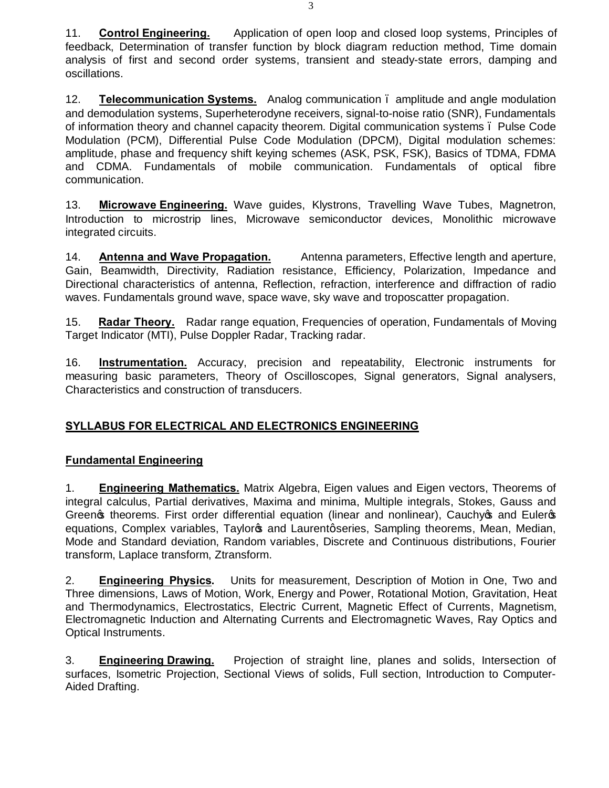11. **Control Engineering.** Application of open loop and closed loop systems, Principles of feedback, Determination of transfer function by block diagram reduction method, Time domain analysis of first and second order systems, transient and steady-state errors, damping and oscillations.

12. **Telecommunication Systems.** Analog communication – amplitude and angle modulation and demodulation systems, Superheterodyne receivers, signal-to-noise ratio (SNR), Fundamentals of information theory and channel capacity theorem. Digital communication systems – Pulse Code Modulation (PCM), Differential Pulse Code Modulation (DPCM), Digital modulation schemes: amplitude, phase and frequency shift keying schemes (ASK, PSK, FSK), Basics of TDMA, FDMA and CDMA. Fundamentals of mobile communication. Fundamentals of optical fibre communication.

13. **Microwave Engineering.** Wave guides, Klystrons, Travelling Wave Tubes, Magnetron, Introduction to microstrip lines, Microwave semiconductor devices, Monolithic microwave integrated circuits.

14. **Antenna and Wave Propagation.** Antenna parameters, Effective length and aperture, Gain, Beamwidth, Directivity, Radiation resistance, Efficiency, Polarization, Impedance and Directional characteristics of antenna, Reflection, refraction, interference and diffraction of radio waves. Fundamentals ground wave, space wave, sky wave and troposcatter propagation.

15. **Radar Theory.** Radar range equation, Frequencies of operation, Fundamentals of Moving Target Indicator (MTI), Pulse Doppler Radar, Tracking radar.

16. **Instrumentation.** Accuracy, precision and repeatability, Electronic instruments for measuring basic parameters, Theory of Oscilloscopes, Signal generators, Signal analysers, Characteristics and construction of transducers.

# **SYLLABUS FOR ELECTRICAL AND ELECTRONICS ENGINEERING**

## **Fundamental Engineering**

1. **Engineering Mathematics.** Matrix Algebra, Eigen values and Eigen vectors, Theorems of integral calculus, Partial derivatives, Maxima and minima, Multiple integrals, Stokes, Gauss and Green of theorems. First order differential equation (linear and nonlinear), Cauchy of and Euler of equations, Complex variables, Taylor<sub>®</sub> and Laurentgseries, Sampling theorems, Mean, Median, Mode and Standard deviation, Random variables, Discrete and Continuous distributions, Fourier transform, Laplace transform, Ztransform.

2. **Engineering Physics.** Units for measurement, Description of Motion in One, Two and Three dimensions, Laws of Motion, Work, Energy and Power, Rotational Motion, Gravitation, Heat and Thermodynamics, Electrostatics, Electric Current, Magnetic Effect of Currents, Magnetism, Electromagnetic Induction and Alternating Currents and Electromagnetic Waves, Ray Optics and Optical Instruments.

3. **Engineering Drawing.** Projection of straight line, planes and solids, Intersection of surfaces, Isometric Projection, Sectional Views of solids, Full section, Introduction to Computer-Aided Drafting.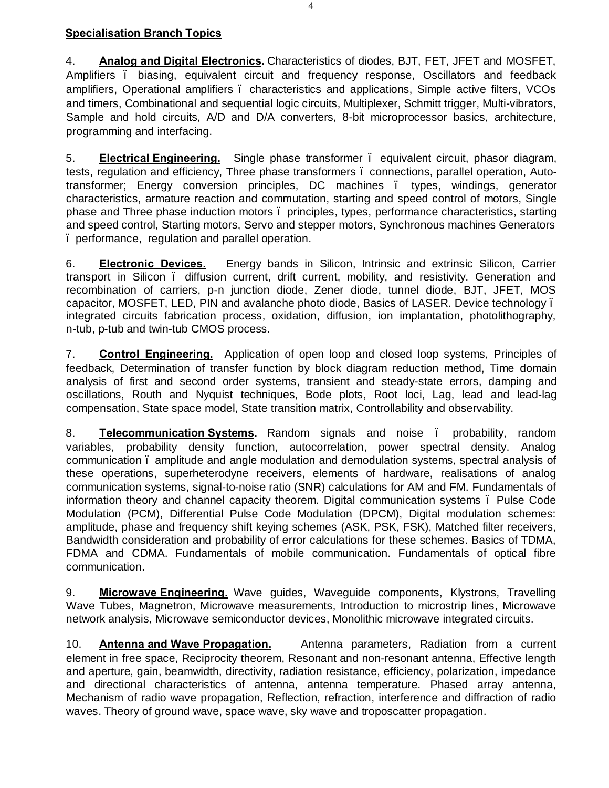# **Specialisation Branch Topics**

4. **Analog and Digital Electronics.** Characteristics of diodes, BJT, FET, JFET and MOSFET, Amplifiers – biasing, equivalent circuit and frequency response, Oscillators and feedback amplifiers, Operational amplifiers – characteristics and applications, Simple active filters, VCOs and timers, Combinational and sequential logic circuits, Multiplexer, Schmitt trigger, Multi-vibrators, Sample and hold circuits, A/D and D/A converters, 8-bit microprocessor basics, architecture, programming and interfacing.

5. **Electrical Engineering.** Single phase transformer – equivalent circuit, phasor diagram, tests, regulation and efficiency, Three phase transformers – connections, parallel operation, Autotransformer; Energy conversion principles, DC machines – types, windings, generator characteristics, armature reaction and commutation, starting and speed control of motors, Single phase and Three phase induction motors – principles, types, performance characteristics, starting and speed control, Starting motors, Servo and stepper motors, Synchronous machines Generators – performance, regulation and parallel operation.

6. **Electronic Devices.** Energy bands in Silicon, Intrinsic and extrinsic Silicon, Carrier transport in Silicon – diffusion current, drift current, mobility, and resistivity. Generation and recombination of carriers, p-n junction diode, Zener diode, tunnel diode, BJT, JFET, MOS capacitor, MOSFET, LED, PIN and avalanche photo diode, Basics of LASER. Device technology – integrated circuits fabrication process, oxidation, diffusion, ion implantation, photolithography, n-tub, p-tub and twin-tub CMOS process.

7. **Control Engineering.** Application of open loop and closed loop systems, Principles of feedback, Determination of transfer function by block diagram reduction method, Time domain analysis of first and second order systems, transient and steady-state errors, damping and oscillations, Routh and Nyquist techniques, Bode plots, Root loci, Lag, lead and lead-lag compensation, State space model, State transition matrix, Controllability and observability.

8. **Telecommunication Systems.** Random signals and noise – probability, random variables, probability density function, autocorrelation, power spectral density. Analog communication – amplitude and angle modulation and demodulation systems, spectral analysis of these operations, superheterodyne receivers, elements of hardware, realisations of analog communication systems, signal-to-noise ratio (SNR) calculations for AM and FM. Fundamentals of information theory and channel capacity theorem. Digital communication systems . Pulse Code Modulation (PCM), Differential Pulse Code Modulation (DPCM), Digital modulation schemes: amplitude, phase and frequency shift keying schemes (ASK, PSK, FSK), Matched filter receivers, Bandwidth consideration and probability of error calculations for these schemes. Basics of TDMA, FDMA and CDMA. Fundamentals of mobile communication. Fundamentals of optical fibre communication.

9. **Microwave Engineering.** Wave guides, Waveguide components, Klystrons, Travelling Wave Tubes, Magnetron, Microwave measurements, Introduction to microstrip lines, Microwave network analysis, Microwave semiconductor devices, Monolithic microwave integrated circuits.

10. **Antenna and Wave Propagation.** Antenna parameters, Radiation from a current element in free space, Reciprocity theorem, Resonant and non-resonant antenna, Effective length and aperture, gain, beamwidth, directivity, radiation resistance, efficiency, polarization, impedance and directional characteristics of antenna, antenna temperature. Phased array antenna, Mechanism of radio wave propagation, Reflection, refraction, interference and diffraction of radio waves. Theory of ground wave, space wave, sky wave and troposcatter propagation.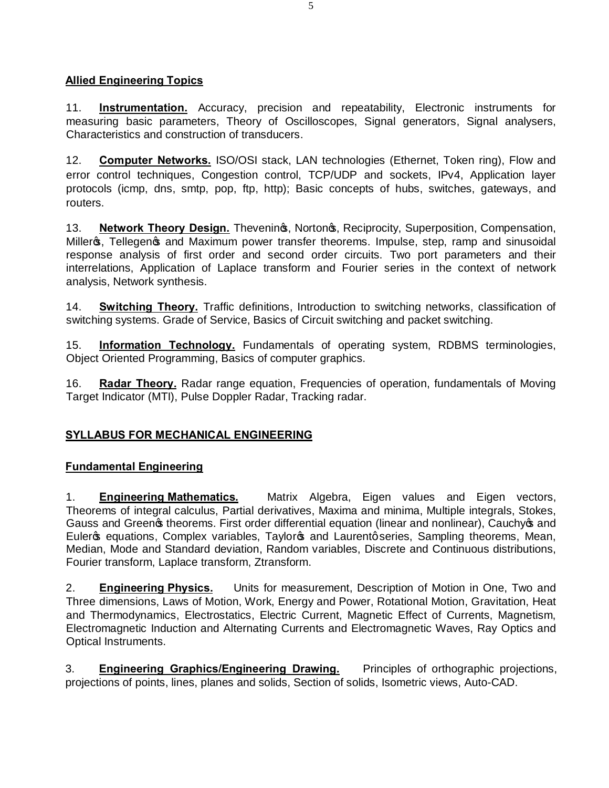# **Allied Engineering Topics**

11. **Instrumentation.** Accuracy, precision and repeatability, Electronic instruments for measuring basic parameters, Theory of Oscilloscopes, Signal generators, Signal analysers, Characteristics and construction of transducers.

12. **Computer Networks.** ISO/OSI stack, LAN technologies (Ethernet, Token ring), Flow and error control techniques, Congestion control, TCP/UDP and sockets, IPv4, Application layer protocols (icmp, dns, smtp, pop, ftp, http); Basic concepts of hubs, switches, gateways, and routers.

13. **Network Theory Design.** Theveninos, Nortonos, Reciprocity, Superposition, Compensation, Millers, Tellegens and Maximum power transfer theorems. Impulse, step, ramp and sinusoidal response analysis of first order and second order circuits. Two port parameters and their interrelations, Application of Laplace transform and Fourier series in the context of network analysis, Network synthesis.

14. **Switching Theory.** Traffic definitions, Introduction to switching networks, classification of switching systems. Grade of Service, Basics of Circuit switching and packet switching.

15. **Information Technology.** Fundamentals of operating system, RDBMS terminologies, Object Oriented Programming, Basics of computer graphics.

16. **Radar Theory.** Radar range equation, Frequencies of operation, fundamentals of Moving Target Indicator (MTI), Pulse Doppler Radar, Tracking radar.

## **SYLLABUS FOR MECHANICAL ENGINEERING**

## **Fundamental Engineering**

1. **Engineering Mathematics.** Matrix Algebra, Eigen values and Eigen vectors, Theorems of integral calculus, Partial derivatives, Maxima and minima, Multiple integrals, Stokes, Gauss and Green theorems. First order differential equation (linear and nonlinear), Cauchy op and Euler of equations, Complex variables, Taylor of and Laurent q series, Sampling theorems, Mean, Median, Mode and Standard deviation, Random variables, Discrete and Continuous distributions, Fourier transform, Laplace transform, Ztransform.

2. **Engineering Physics.** Units for measurement, Description of Motion in One, Two and Three dimensions, Laws of Motion, Work, Energy and Power, Rotational Motion, Gravitation, Heat and Thermodynamics, Electrostatics, Electric Current, Magnetic Effect of Currents, Magnetism, Electromagnetic Induction and Alternating Currents and Electromagnetic Waves, Ray Optics and Optical Instruments.

3. **Engineering Graphics/Engineering Drawing.** Principles of orthographic projections, projections of points, lines, planes and solids, Section of solids, Isometric views, Auto-CAD.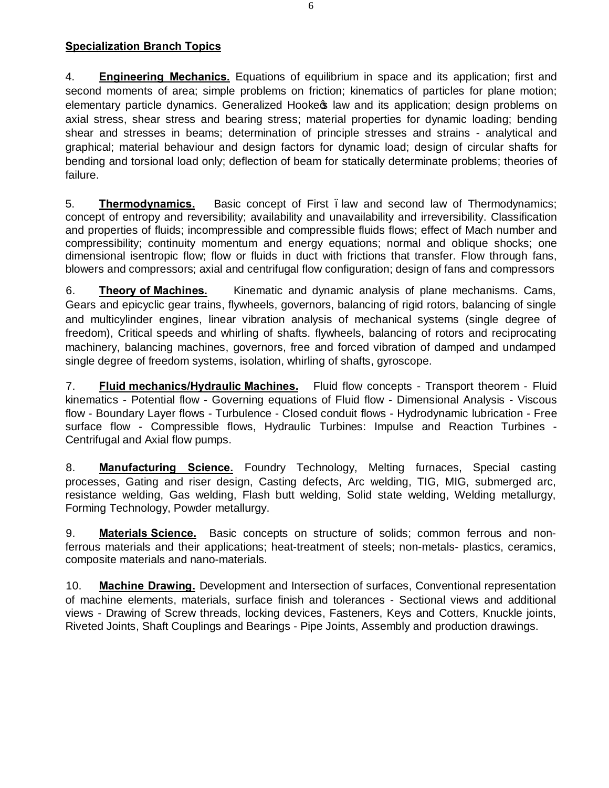# **Specialization Branch Topics**

4. **Engineering Mechanics.** Equations of equilibrium in space and its application; first and second moments of area; simple problems on friction; kinematics of particles for plane motion; elementary particle dynamics. Generalized Hooke taw and its application; design problems on axial stress, shear stress and bearing stress; material properties for dynamic loading; bending shear and stresses in beams; determination of principle stresses and strains - analytical and graphical; material behaviour and design factors for dynamic load; design of circular shafts for bending and torsional load only; deflection of beam for statically determinate problems; theories of failure.

5. **Thermodynamics.** Basic concept of First –law and second law of Thermodynamics; concept of entropy and reversibility; availability and unavailability and irreversibility. Classification and properties of fluids; incompressible and compressible fluids flows; effect of Mach number and compressibility; continuity momentum and energy equations; normal and oblique shocks; one dimensional isentropic flow; flow or fluids in duct with frictions that transfer. Flow through fans, blowers and compressors; axial and centrifugal flow configuration; design of fans and compressors

6. **Theory of Machines.** Kinematic and dynamic analysis of plane mechanisms. Cams, Gears and epicyclic gear trains, flywheels, governors, balancing of rigid rotors, balancing of single and multicylinder engines, linear vibration analysis of mechanical systems (single degree of freedom), Critical speeds and whirling of shafts. flywheels, balancing of rotors and reciprocating machinery, balancing machines, governors, free and forced vibration of damped and undamped single degree of freedom systems, isolation, whirling of shafts, gyroscope.

7. **Fluid mechanics/Hydraulic Machines.** Fluid flow concepts - Transport theorem - Fluid kinematics - Potential flow - Governing equations of Fluid flow - Dimensional Analysis - Viscous flow - Boundary Layer flows - Turbulence - Closed conduit flows - Hydrodynamic lubrication - Free surface flow - Compressible flows, Hydraulic Turbines: Impulse and Reaction Turbines - Centrifugal and Axial flow pumps.

8. **Manufacturing Science.** Foundry Technology, Melting furnaces, Special casting processes, Gating and riser design, Casting defects, Arc welding, TIG, MIG, submerged arc, resistance welding, Gas welding, Flash butt welding, Solid state welding, Welding metallurgy, Forming Technology, Powder metallurgy.

9. **Materials Science.** Basic concepts on structure of solids; common ferrous and nonferrous materials and their applications; heat-treatment of steels; non-metals- plastics, ceramics, composite materials and nano-materials.

10. **Machine Drawing.** Development and Intersection of surfaces, Conventional representation of machine elements, materials, surface finish and tolerances - Sectional views and additional views - Drawing of Screw threads, locking devices, Fasteners, Keys and Cotters, Knuckle joints, Riveted Joints, Shaft Couplings and Bearings - Pipe Joints, Assembly and production drawings.